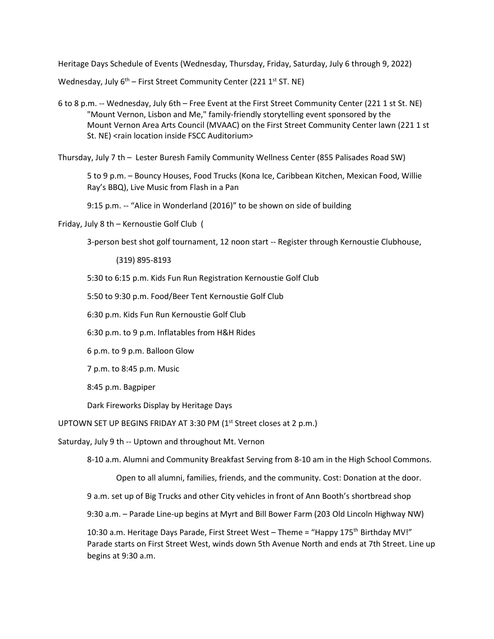Heritage Days Schedule of Events (Wednesday, Thursday, Friday, Saturday, July 6 through 9, 2022)

Wednesday, July  $6<sup>th</sup>$  – First Street Community Center (221 1<sup>st</sup> ST. NE)

6 to 8 p.m. -- Wednesday, July 6th – Free Event at the First Street Community Center (221 1 st St. NE) "Mount Vernon, Lisbon and Me," family-friendly storytelling event sponsored by the Mount Vernon Area Arts Council (MVAAC) on the First Street Community Center lawn (221 1 st St. NE) <rain location inside FSCC Auditorium>

Thursday, July 7 th – Lester Buresh Family Community Wellness Center (855 Palisades Road SW)

5 to 9 p.m. – Bouncy Houses, Food Trucks (Kona Ice, Caribbean Kitchen, Mexican Food, Willie Ray's BBQ), Live Music from Flash in a Pan

9:15 p.m. -- "Alice in Wonderland (2016)" to be shown on side of building

Friday, July 8 th – Kernoustie Golf Club (

3-person best shot golf tournament, 12 noon start -- Register through Kernoustie Clubhouse,

(319) 895-8193

5:30 to 6:15 p.m. Kids Fun Run Registration Kernoustie Golf Club

5:50 to 9:30 p.m. Food/Beer Tent Kernoustie Golf Club

6:30 p.m. Kids Fun Run Kernoustie Golf Club

6:30 p.m. to 9 p.m. Inflatables from H&H Rides

6 p.m. to 9 p.m. Balloon Glow

7 p.m. to 8:45 p.m. Music

8:45 p.m. Bagpiper

Dark Fireworks Display by Heritage Days

UPTOWN SET UP BEGINS FRIDAY AT 3:30 PM (1<sup>st</sup> Street closes at 2 p.m.)

Saturday, July 9 th -- Uptown and throughout Mt. Vernon

8-10 a.m. Alumni and Community Breakfast Serving from 8-10 am in the High School Commons.

Open to all alumni, families, friends, and the community. Cost: Donation at the door.

9 a.m. set up of Big Trucks and other City vehicles in front of Ann Booth's shortbread shop

9:30 a.m. – Parade Line-up begins at Myrt and Bill Bower Farm (203 Old Lincoln Highway NW)

10:30 a.m. Heritage Days Parade, First Street West - Theme = "Happy 175<sup>th</sup> Birthday MV!" Parade starts on First Street West, winds down 5th Avenue North and ends at 7th Street. Line up begins at 9:30 a.m.